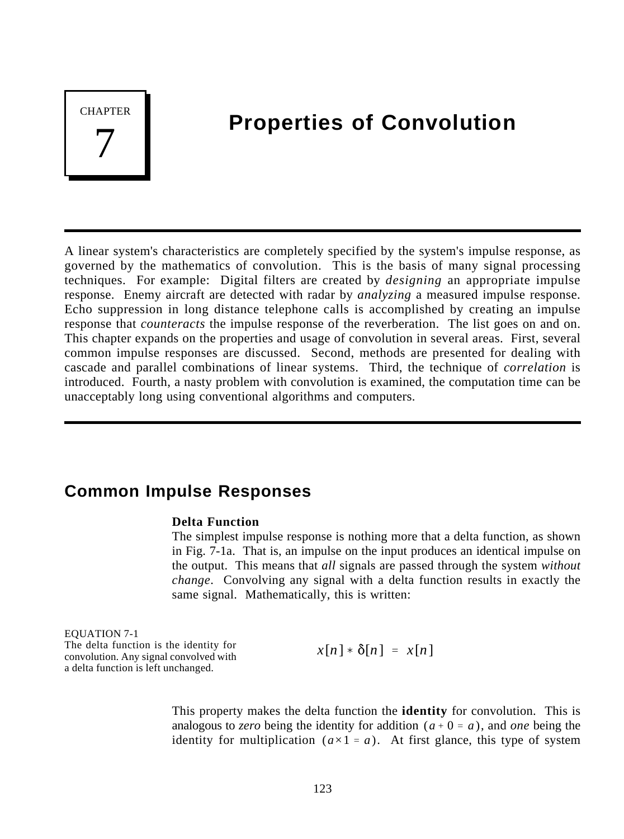**CHAPTER** 7

# **Properties of Convolution**

A linear system's characteristics are completely specified by the system's impulse response, as governed by the mathematics of convolution. This is the basis of many signal processing techniques. For example: Digital filters are created by *designing* an appropriate impulse response. Enemy aircraft are detected with radar by *analyzing* a measured impulse response. Echo suppression in long distance telephone calls is accomplished by creating an impulse response that *counteracts* the impulse response of the reverberation. The list goes on and on. This chapter expands on the properties and usage of convolution in several areas. First, several common impulse responses are discussed. Second, methods are presented for dealing with cascade and parallel combinations of linear systems. Third, the technique of *correlation* is introduced. Fourth, a nasty problem with convolution is examined, the computation time can be unacceptably long using conventional algorithms and computers.

# **Common Impulse Responses**

# **Delta Function**

The simplest impulse response is nothing more that a delta function, as shown in Fig. 7-1a. That is, an impulse on the input produces an identical impulse on the output. This means that *all* signals are passed through the system *without change*. Convolving any signal with a delta function results in exactly the same signal. Mathematically, this is written:

EQUATION 7-1 The delta function is the identity for convolution. Any signal convolved with a delta function is left unchanged.

$$
x[n] * \delta[n] = x[n]
$$

This property makes the delta function the **identity** for convolution. This is analogous to *zero* being the identity for addition  $(a + 0 = a)$ , and *one* being the identity for multiplication  $(a \times 1 = a)$ . At first glance, this type of system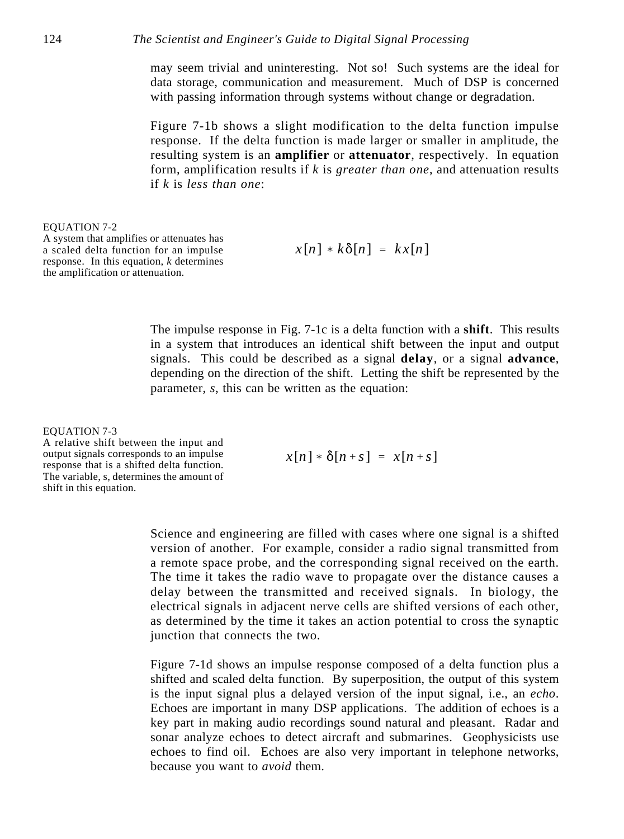may seem trivial and uninteresting. Not so! Such systems are the ideal for data storage, communication and measurement. Much of DSP is concerned with passing information through systems without change or degradation.

Figure 7-1b shows a slight modification to the delta function impulse response. If the delta function is made larger or smaller in amplitude, the resulting system is an **amplifier** or **attenuator**, respectively. In equation form, amplification results if *k* is *greater than one*, and attenuation results if *k* is *less than one*:

#### EQUATION 7-2

A system that amplifies or attenuates has a scaled delta function for an impulse response. In this equation, *k* determines the amplification or attenuation.

 $x[n] * k\delta[n] = kx[n]$ 

The impulse response in Fig. 7-1c is a delta function with a **shift**. This results in a system that introduces an identical shift between the input and output signals. This could be described as a signal **delay**, or a signal **advance**, depending on the direction of the shift. Letting the shift be represented by the parameter, *s*, this can be written as the equation:

EQUATION 7-3

A relative shift between the input and output signals corresponds to an impulse response that is a shifted delta function. The variable, s, determines the amount of shift in this equation.

$$
x[n] * \delta[n+s] = x[n+s]
$$

Science and engineering are filled with cases where one signal is a shifted version of another. For example, consider a radio signal transmitted from a remote space probe, and the corresponding signal received on the earth. The time it takes the radio wave to propagate over the distance causes a delay between the transmitted and received signals. In biology, the electrical signals in adjacent nerve cells are shifted versions of each other, as determined by the time it takes an action potential to cross the synaptic junction that connects the two.

Figure 7-1d shows an impulse response composed of a delta function plus a shifted and scaled delta function. By superposition, the output of this system is the input signal plus a delayed version of the input signal, i.e., an *echo*. Echoes are important in many DSP applications. The addition of echoes is a key part in making audio recordings sound natural and pleasant. Radar and sonar analyze echoes to detect aircraft and submarines. Geophysicists use echoes to find oil. Echoes are also very important in telephone networks, because you want to *avoid* them.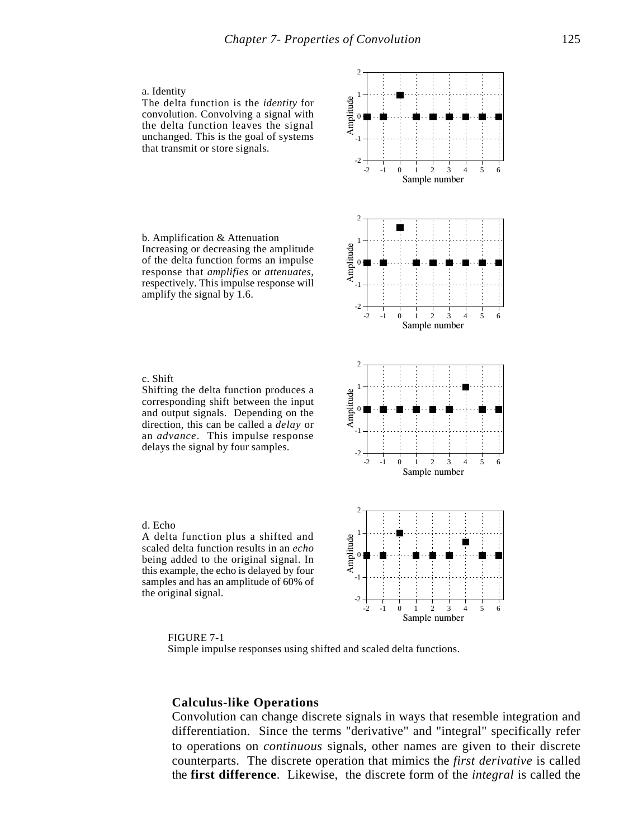2

#### a. Identity

The delta function is the *identity* for convolution. Convolving a signal with the delta function leaves the signal unchanged. This is the goal of systems that transmit or store signals.

b. Amplification & Attenuation Increasing or decreasing the amplitude of the delta function forms an impulse response that *amplifies* or *attenuates*, respectively. This impulse response will amplify the signal by 1.6.

#### c. Shift

Shifting the delta function produces a corresponding shift between the input and output signals. Depending on the direction, this can be called a *delay* or an *advance*. This impulse response delays the signal by four samples.

### d. Echo

A delta function plus a shifted and scaled delta function results in an *echo* being added to the original signal. In this example, the echo is delayed by four samples and has an amplitude of 60% of the original signal.

# 1 Amplitude Amplitude Amplitude  $\Omega$ -1 -2 -2 -1 0 1 2 3 4 5 6 Sample number 2 1 **Amplitude**  $\theta$ -1 -2 -2 -1 0 1 2 3 4 5 6 Sample number 2 1 Amplitude  $\overline{0}$ -1 -2 -2 -1 0 1 2 3 4 5 6 Sample number  $\mathfrak{D}$ 1 Amplitude  $\mathbf{0}$ -1 -2 -2 -1 0 1 2 3 4 5 6

Sample number



Simple impulse responses using shifted and scaled delta functions.

# **Calculus-like Operations**

Convolution can change discrete signals in ways that resemble integration and differentiation. Since the terms "derivative" and "integral" specifically refer to operations on *continuous* signals, other names are given to their discrete counterparts. The discrete operation that mimics the *first derivative* is called the **first difference**. Likewise, the discrete form of the *integral* is called the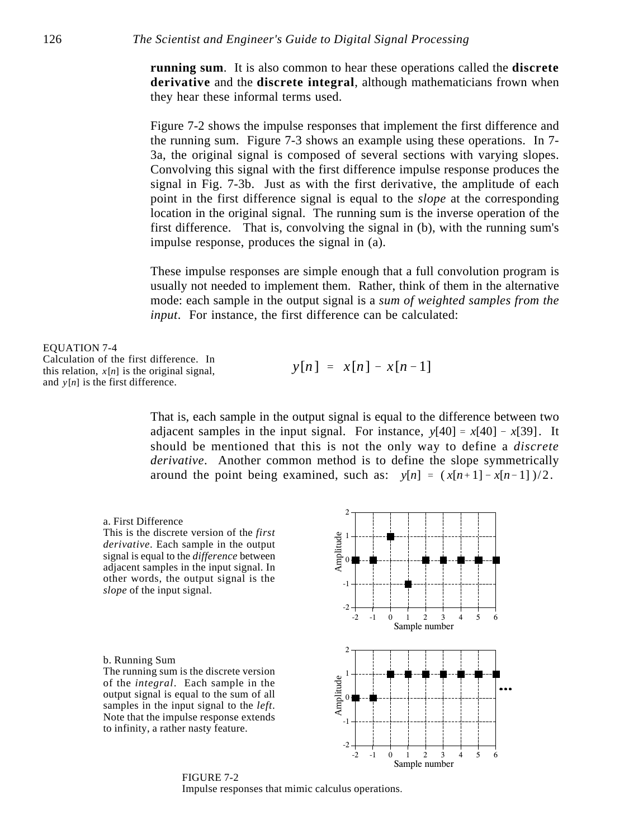**running sum**. It is also common to hear these operations called the **discrete derivative** and the **discrete integral**, although mathematicians frown when they hear these informal terms used.

Figure 7-2 shows the impulse responses that implement the first difference and the running sum. Figure 7-3 shows an example using these operations. In 7- 3a, the original signal is composed of several sections with varying slopes. Convolving this signal with the first difference impulse response produces the signal in Fig. 7-3b. Just as with the first derivative, the amplitude of each point in the first difference signal is equal to the *slope* at the corresponding location in the original signal. The running sum is the inverse operation of the first difference. That is, convolving the signal in (b), with the running sum's impulse response, produces the signal in (a).

These impulse responses are simple enough that a full convolution program is usually not needed to implement them. Rather, think of them in the alternative mode: each sample in the output signal is a *sum of weighted samples from the input*. For instance, the first difference can be calculated:

EQUATION 7-4 Calculation of the first difference. In this relation,  $x[n]$  is the original signal, and  $y[n]$  is the first difference.

$$
y[n] = x[n] - x[n-1]
$$

That is, each sample in the output signal is equal to the difference between two adjacent samples in the input signal. For instance,  $y[40] = x[40] - x[39]$ . It should be mentioned that this is not the only way to define a *discrete derivative*. Another common method is to define the slope symmetrically around the point being examined, such as:  $y[n] = (x[n+1]-x[n-1])/2$ .

a. First Difference

This is the discrete version of the *first derivative*. Each sample in the output signal is equal to the *difference* between adjacent samples in the input signal. In other words, the output signal is the *slope* of the input signal.

b. Running Sum

The running sum is the discrete version of the *integral*. Each sample in the output signal is equal to the sum of all samples in the input signal to the *left*. Note that the impulse response extends to infinity, a rather nasty feature.

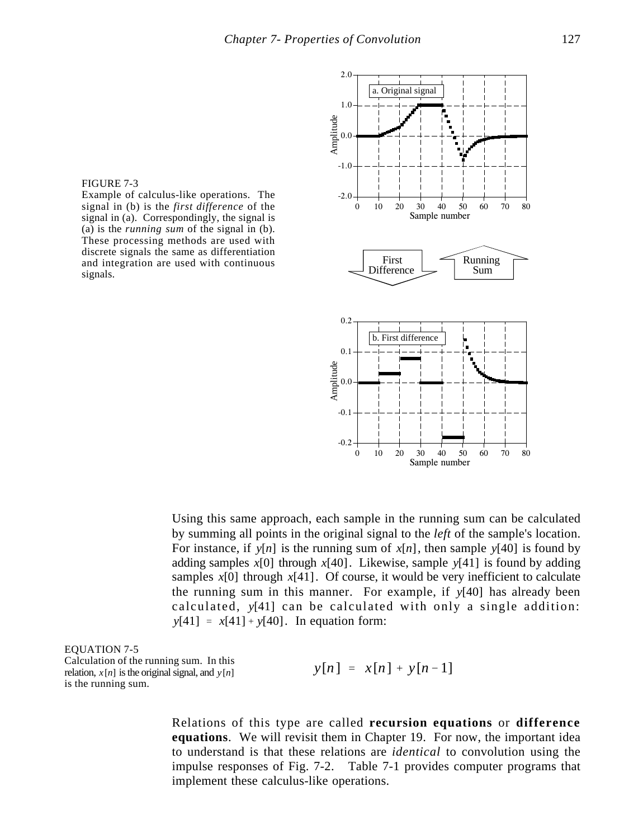

# FIGURE 7-3

Example of calculus-like operations. The signal in (b) is the *first difference* of the signal in (a). Correspondingly, the signal is (a) is the *running sum* of the signal in (b). These processing methods are used with discrete signals the same as differentiation and integration are used with continuous signals.

> Using this same approach, each sample in the running sum can be calculated by summing all points in the original signal to the *left* of the sample's location. For instance, if  $y[n]$  is the running sum of  $x[n]$ , then sample  $y[40]$  is found by adding samples *x*[0] through *x*[40]. Likewise, sample *y*[41] is found by adding samples  $x[0]$  through  $x[41]$ . Of course, it would be very inefficient to calculate the running sum in this manner. For example, if *y*[40] has already been calculated, *y*[41] can be calculated with only a single addition:  $y[41] = x[41] + y[40]$ . In equation form:

EQUATION 7-5 Calculation of the running sum. In this relation,  $x[n]$  is the original signal, and  $y[n]$ is the running sum.

$$
y[n] = x[n] + y[n-1]
$$

Relations of this type are called **recursion equations** or **difference equations**. We will revisit them in Chapter 19. For now, the important idea to understand is that these relations are *identical* to convolution using the impulse responses of Fig. 7-2. Table 7-1 provides computer programs that implement these calculus-like operations.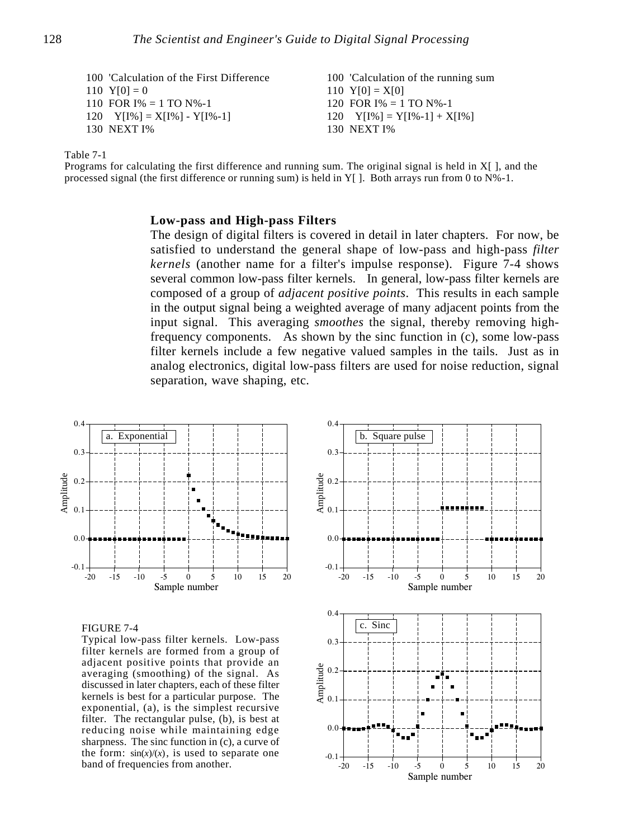| 100 'Calculation of the First Difference | 100 'Calculation of the running sum |
|------------------------------------------|-------------------------------------|
| 110 Y <sub>[0]</sub> = 0                 | 110 $Y[0] = X[0]$                   |
| 110 FOR $1\% = 1$ TO N%-1                | 120 FOR $I% = 1$ TO $N% - 1$        |
| 120 $Y[I\%] = X[I\%] - Y[I\% -1]$        | 120 $Y[I\%] = Y[I\% - 1] + X[I\%]$  |
| 130 NEXT I%                              | 130 NEXT 1%                         |

Table 7-1

Programs for calculating the first difference and running sum. The original signal is held in  $X[$ ], and the processed signal (the first difference or running sum) is held in Y[ ]. Both arrays run from 0 to N%-1.

#### **Low-pass and High-pass Filters**

The design of digital filters is covered in detail in later chapters. For now, be satisfied to understand the general shape of low-pass and high-pass *filter kernels* (another name for a filter's impulse response). Figure 7-4 shows several common low-pass filter kernels. In general, low-pass filter kernels are composed of a group of *adjacent positive points*. This results in each sample in the output signal being a weighted average of many adjacent points from the input signal. This averaging *smoothes* the signal, thereby removing highfrequency components. As shown by the sinc function in (c), some low-pass filter kernels include a few negative valued samples in the tails. Just as in analog electronics, digital low-pass filters are used for noise reduction, signal separation, wave shaping, etc.



#### FIGURE 7-4

Typical low-pass filter kernels. Low-pass filter kernels are formed from a group of adjacent positive points that provide an averaging (smoothing) of the signal. As discussed in later chapters, each of these filter kernels is best for a particular purpose. The exponential, (a), is the simplest recursive filter. The rectangular pulse, (b), is best at reducing noise while maintaining edge sharpness. The sinc function in (c), a curve of the form:  $\sin(x)/(x)$ , is used to separate one band of frequencies from another.

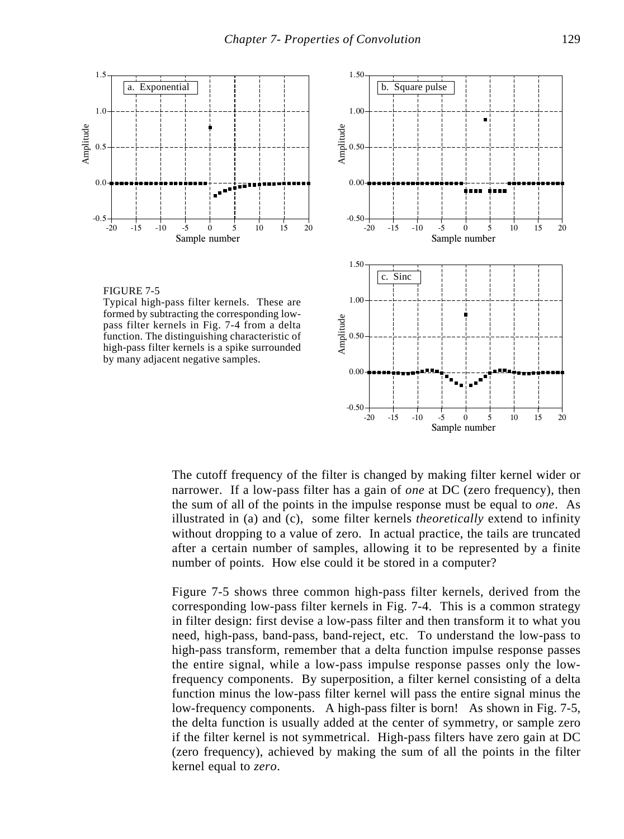

#### FIGURE 7-5

Typical high-pass filter kernels. These are formed by subtracting the corresponding lowpass filter kernels in Fig. 7-4 from a delta function. The distinguishing characteristic of high-pass filter kernels is a spike surrounded by many adjacent negative samples.



The cutoff frequency of the filter is changed by making filter kernel wider or narrower. If a low-pass filter has a gain of *one* at DC (zero frequency), then the sum of all of the points in the impulse response must be equal to *one*. As illustrated in (a) and (c), some filter kernels *theoretically* extend to infinity without dropping to a value of zero. In actual practice, the tails are truncated after a certain number of samples, allowing it to be represented by a finite number of points. How else could it be stored in a computer?

Figure 7-5 shows three common high-pass filter kernels, derived from the corresponding low-pass filter kernels in Fig. 7-4. This is a common strategy in filter design: first devise a low-pass filter and then transform it to what you need, high-pass, band-pass, band-reject, etc. To understand the low-pass to high-pass transform, remember that a delta function impulse response passes the entire signal, while a low-pass impulse response passes only the lowfrequency components. By superposition, a filter kernel consisting of a delta function minus the low-pass filter kernel will pass the entire signal minus the low-frequency components. A high-pass filter is born! As shown in Fig. 7-5, the delta function is usually added at the center of symmetry, or sample zero if the filter kernel is not symmetrical. High-pass filters have zero gain at DC (zero frequency), achieved by making the sum of all the points in the filter kernel equal to *zero*.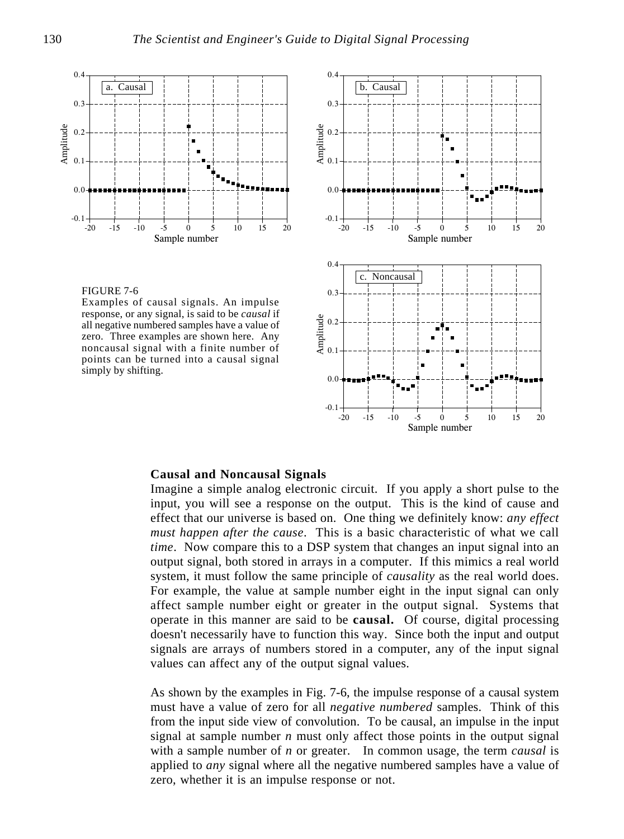

FIGURE 7-6

Examples of causal signals. An impulse response, or any signal, is said to be *causal* if all negative numbered samples have a value of zero. Three examples are shown here. Any noncausal signal with a finite number of points can be turned into a causal signal simply by shifting.



### **Causal and Noncausal Signals**

Imagine a simple analog electronic circuit. If you apply a short pulse to the input, you will see a response on the output. This is the kind of cause and effect that our universe is based on. One thing we definitely know: *any effect must happen after the cause*. This is a basic characteristic of what we call *time*. Now compare this to a DSP system that changes an input signal into an output signal, both stored in arrays in a computer. If this mimics a real world system, it must follow the same principle of *causality* as the real world does. For example, the value at sample number eight in the input signal can only affect sample number eight or greater in the output signal. Systems that operate in this manner are said to be **causal.** Of course, digital processing doesn't necessarily have to function this way. Since both the input and output signals are arrays of numbers stored in a computer, any of the input signal values can affect any of the output signal values.

As shown by the examples in Fig. 7-6, the impulse response of a causal system must have a value of zero for all *negative numbered* samples. Think of this from the input side view of convolution. To be causal, an impulse in the input signal at sample number *n* must only affect those points in the output signal with a sample number of *n* or greater. In common usage, the term *causal* is applied to *any* signal where all the negative numbered samples have a value of zero, whether it is an impulse response or not.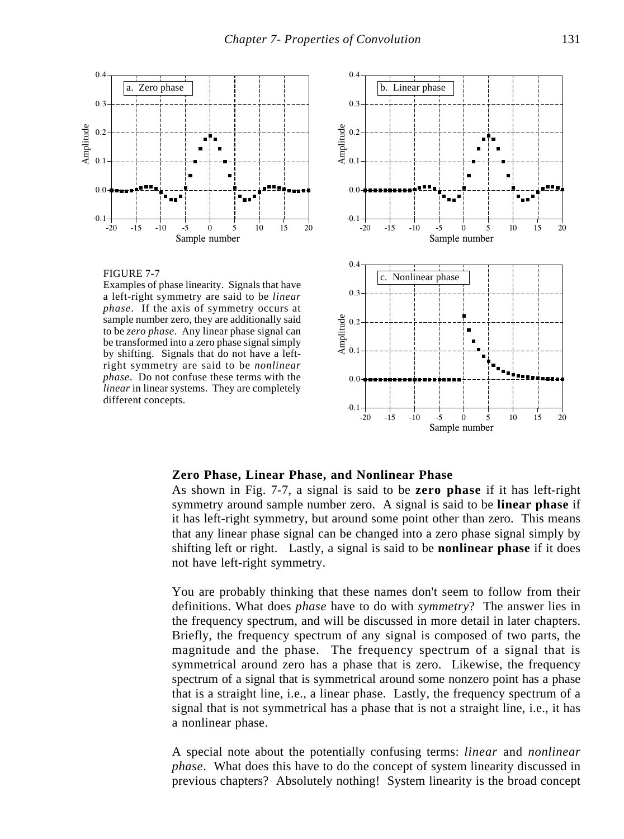

FIGURE 7-7

Examples of phase linearity. Signals that have a left-right symmetry are said to be *linear phase*. If the axis of symmetry occurs at sample number zero, they are additionally said to be *zero phase*. Any linear phase signal can be transformed into a zero phase signal simply by shifting. Signals that do not have a leftright symmetry are said to be *nonlinear phase*. Do not confuse these terms with the *linear* in linear systems. They are completely different concepts.



# **Zero Phase, Linear Phase, and Nonlinear Phase**

As shown in Fig. 7-7, a signal is said to be **zero phase** if it has left-right symmetry around sample number zero. A signal is said to be **linear phase** if it has left-right symmetry, but around some point other than zero. This means that any linear phase signal can be changed into a zero phase signal simply by shifting left or right. Lastly, a signal is said to be **nonlinear phase** if it does not have left-right symmetry.

You are probably thinking that these names don't seem to follow from their definitions. What does *phase* have to do with *symmetry*? The answer lies in the frequency spectrum, and will be discussed in more detail in later chapters. Briefly, the frequency spectrum of any signal is composed of two parts, the magnitude and the phase. The frequency spectrum of a signal that is symmetrical around zero has a phase that is zero. Likewise, the frequency spectrum of a signal that is symmetrical around some nonzero point has a phase that is a straight line, i.e., a linear phase. Lastly, the frequency spectrum of a signal that is not symmetrical has a phase that is not a straight line, i.e., it has a nonlinear phase.

A special note about the potentially confusing terms: *linear* and *nonlinear phase*. What does this have to do the concept of system linearity discussed in previous chapters? Absolutely nothing! System linearity is the broad concept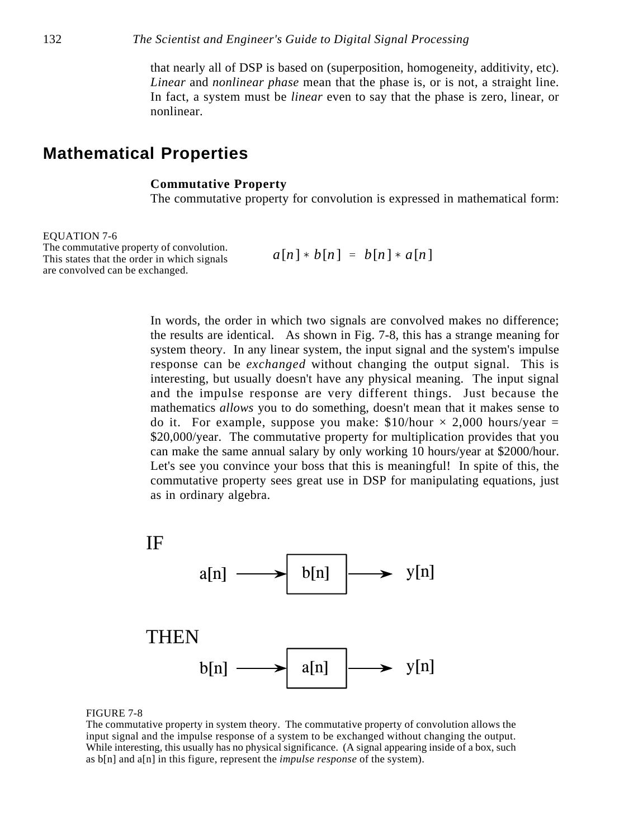that nearly all of DSP is based on (superposition, homogeneity, additivity, etc). *Linear* and *nonlinear phase* mean that the phase is, or is not, a straight line. In fact, a system must be *linear* even to say that the phase is zero, linear, or nonlinear.

# **Mathematical Properties**

### **Commutative Property**

The commutative property for convolution is expressed in mathematical form:

EQUATION 7-6 The commutative property of convolution. This states that the order in which signals are convolved can be exchanged.

 $a[n] * b[n] = b[n] * a[n]$ 

In words, the order in which two signals are convolved makes no difference; the results are identical. As shown in Fig. 7-8, this has a strange meaning for system theory. In any linear system, the input signal and the system's impulse response can be *exchanged* without changing the output signal. This is interesting, but usually doesn't have any physical meaning. The input signal and the impulse response are very different things. Just because the mathematics *allows* you to do something, doesn't mean that it makes sense to do it. For example, suppose you make:  $$10/hour \times 2,000$  hours/year = \$20,000/year. The commutative property for multiplication provides that you can make the same annual salary by only working 10 hours/year at \$2000/hour. Let's see you convince your boss that this is meaningful! In spite of this, the commutative property sees great use in DSP for manipulating equations, just as in ordinary algebra.



#### FIGURE 7-8

The commutative property in system theory. The commutative property of convolution allows the input signal and the impulse response of a system to be exchanged without changing the output. While interesting, this usually has no physical significance. (A signal appearing inside of a box, such as b[n] and a[n] in this figure, represent the *impulse response* of the system).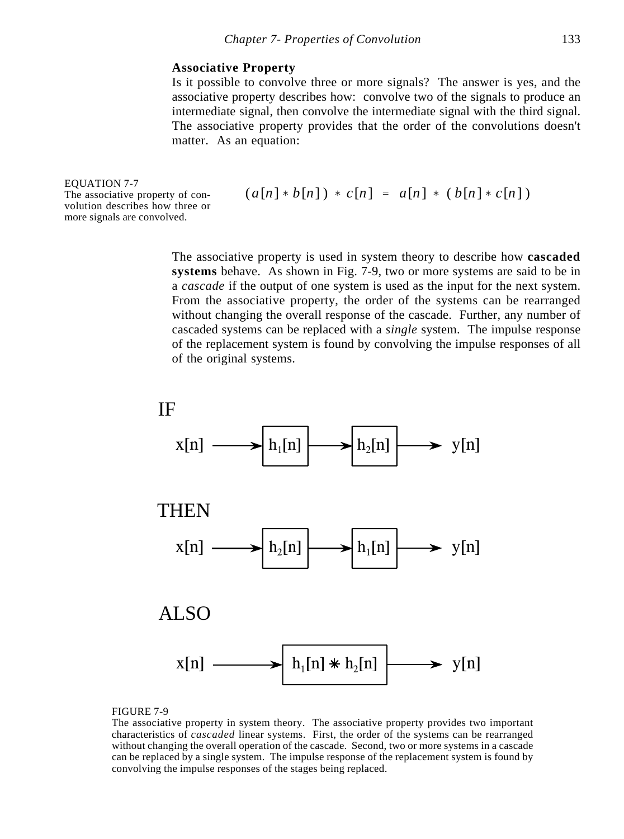### **Associative Property**

Is it possible to convolve three or more signals? The answer is yes, and the associative property describes how: convolve two of the signals to produce an intermediate signal, then convolve the intermediate signal with the third signal. The associative property provides that the order of the convolutions doesn't matter. As an equation:

EQUATION 7-7 The associative property of convolution describes how three or more signals are convolved.

$$
(a[n] * b[n]) * c[n] = a[n] * (b[n] * c[n])
$$

The associative property is used in system theory to describe how **cascaded systems** behave. As shown in Fig. 7-9, two or more systems are said to be in a *cascade* if the output of one system is used as the input for the next system. From the associative property, the order of the systems can be rearranged without changing the overall response of the cascade. Further, any number of cascaded systems can be replaced with a *single* system. The impulse response of the replacement system is found by convolving the impulse responses of all of the original systems.



#### FIGURE 7-9

The associative property in system theory. The associative property provides two important characteristics of *cascaded* linear systems. First, the order of the systems can be rearranged without changing the overall operation of the cascade. Second, two or more systems in a cascade can be replaced by a single system. The impulse response of the replacement system is found by convolving the impulse responses of the stages being replaced.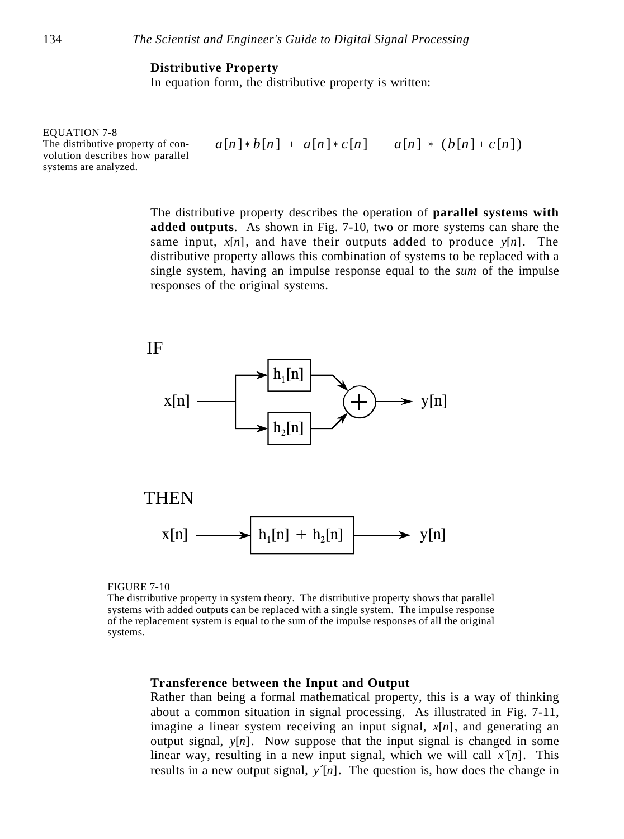### **Distributive Property**

In equation form, the distributive property is written:

EQUATION 7-8 The distributive property of convolution describes how parallel systems are analyzed.

 $a[n]*b[n] + a[n]*c[n] = a[n] * (b[n]+c[n])$ 

The distributive property describes the operation of **parallel systems with added outputs**. As shown in Fig. 7-10, two or more systems can share the same input,  $x[n]$ , and have their outputs added to produce  $y[n]$ . The distributive property allows this combination of systems to be replaced with a single system, having an impulse response equal to the *sum* of the impulse responses of the original systems.





FIGURE 7-10

The distributive property in system theory. The distributive property shows that parallel systems with added outputs can be replaced with a single system. The impulse response of the replacement system is equal to the sum of the impulse responses of all the original systems.

### **Transference between the Input and Output**

Rather than being a formal mathematical property, this is a way of thinking about a common situation in signal processing. As illustrated in Fig. 7-11, imagine a linear system receiving an input signal, *x*[*n*], and generating an output signal,  $y[n]$ . Now suppose that the input signal is changed in some linear way, resulting in a new input signal, which we will call  $x[n]$ . This results in a new output signal,  $y[n]$ . The question is, how does the change in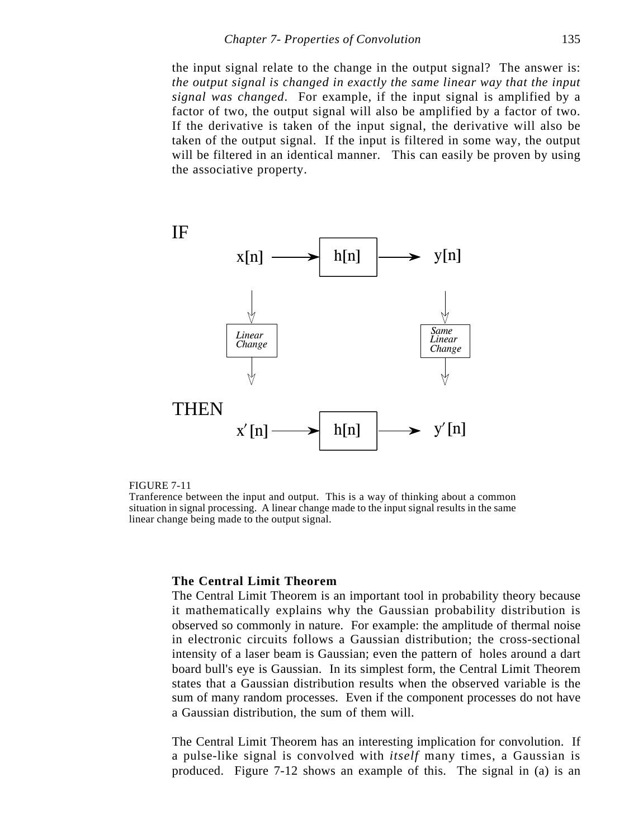the input signal relate to the change in the output signal? The answer is: *the output signal is changed in exactly the same linear way that the input signal was changed*. For example, if the input signal is amplified by a factor of two, the output signal will also be amplified by a factor of two. If the derivative is taken of the input signal, the derivative will also be taken of the output signal. If the input is filtered in some way, the output will be filtered in an identical manner. This can easily be proven by using the associative property.



#### FIGURE 7-11

Tranference between the input and output. This is a way of thinking about a common situation in signal processing. A linear change made to the input signal results in the same linear change being made to the output signal.

#### **The Central Limit Theorem**

The Central Limit Theorem is an important tool in probability theory because it mathematically explains why the Gaussian probability distribution is observed so commonly in nature. For example: the amplitude of thermal noise in electronic circuits follows a Gaussian distribution; the cross-sectional intensity of a laser beam is Gaussian; even the pattern of holes around a dart board bull's eye is Gaussian. In its simplest form, the Central Limit Theorem states that a Gaussian distribution results when the observed variable is the sum of many random processes. Even if the component processes do not have a Gaussian distribution, the sum of them will.

The Central Limit Theorem has an interesting implication for convolution. If a pulse-like signal is convolved with *itself* many times, a Gaussian is produced. Figure 7-12 shows an example of this. The signal in (a) is an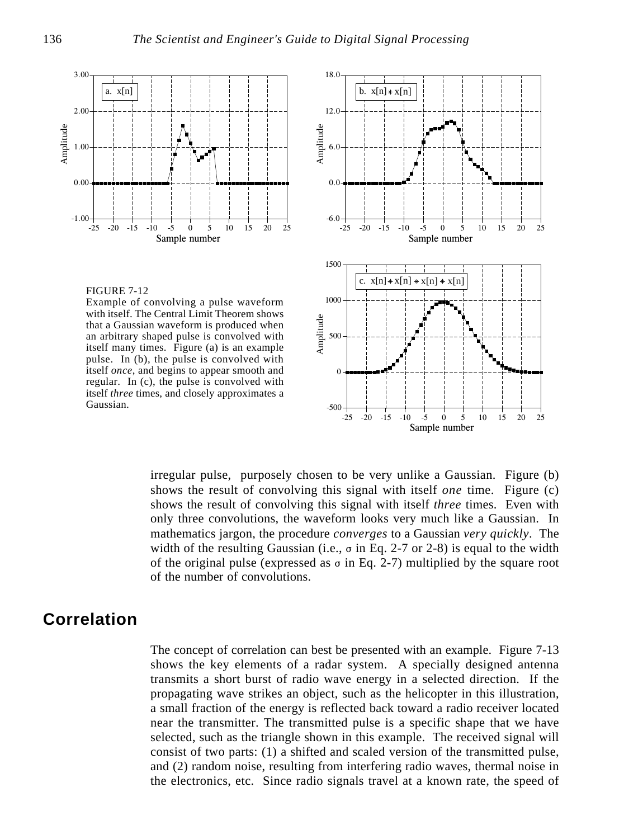



Example of convolving a pulse waveform with itself. The Central Limit Theorem shows that a Gaussian waveform is produced when an arbitrary shaped pulse is convolved with itself many times. Figure (a) is an example pulse. In (b), the pulse is convolved with itself *once*, and begins to appear smooth and regular. In (c), the pulse is convolved with itself *three* times, and closely approximates a Gaussian.



irregular pulse, purposely chosen to be very unlike a Gaussian. Figure (b) shows the result of convolving this signal with itself *one* time. Figure (c) shows the result of convolving this signal with itself *three* times. Even with only three convolutions, the waveform looks very much like a Gaussian. In mathematics jargon, the procedure *converges* to a Gaussian *very quickly*. The width of the resulting Gaussian (i.e.,  $\sigma$  in Eq. 2-7 or 2-8) is equal to the width of the original pulse (expressed as  $\sigma$  in Eq. 2-7) multiplied by the square root of the number of convolutions.

# **Correlation**

The concept of correlation can best be presented with an example. Figure 7-13 shows the key elements of a radar system. A specially designed antenna transmits a short burst of radio wave energy in a selected direction. If the propagating wave strikes an object, such as the helicopter in this illustration, a small fraction of the energy is reflected back toward a radio receiver located near the transmitter. The transmitted pulse is a specific shape that we have selected, such as the triangle shown in this example. The received signal will consist of two parts: (1) a shifted and scaled version of the transmitted pulse, and (2) random noise, resulting from interfering radio waves, thermal noise in the electronics, etc. Since radio signals travel at a known rate, the speed of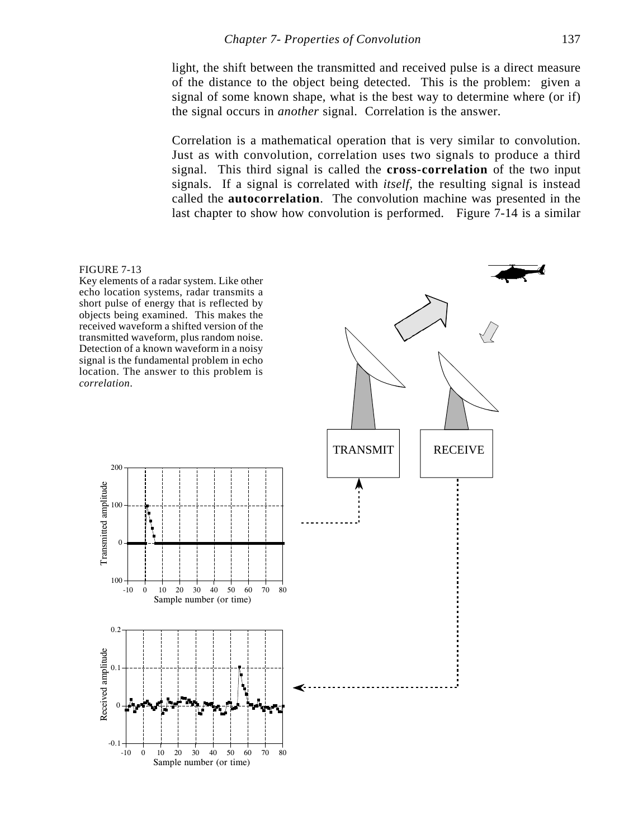light, the shift between the transmitted and received pulse is a direct measure of the distance to the object being detected. This is the problem: given a signal of some known shape, what is the best way to determine where (or if) the signal occurs in *another* signal. Correlation is the answer.

Correlation is a mathematical operation that is very similar to convolution. Just as with convolution, correlation uses two signals to produce a third signal. This third signal is called the **cross-correlation** of the two input signals. If a signal is correlated with *itself*, the resulting signal is instead called the **autocorrelation**. The convolution machine was presented in the last chapter to show how convolution is performed. Figure 7-14 is a similar

#### FIGURE 7-13

Key elements of a radar system. Like other echo location systems, radar transmits a short pulse of energy that is reflected by objects being examined. This makes the received waveform a shifted version of the transmitted waveform, plus random noise. Detection of a known waveform in a noisy signal is the fundamental problem in echo location. The answer to this problem is *correlation*.

Sample number (or time)

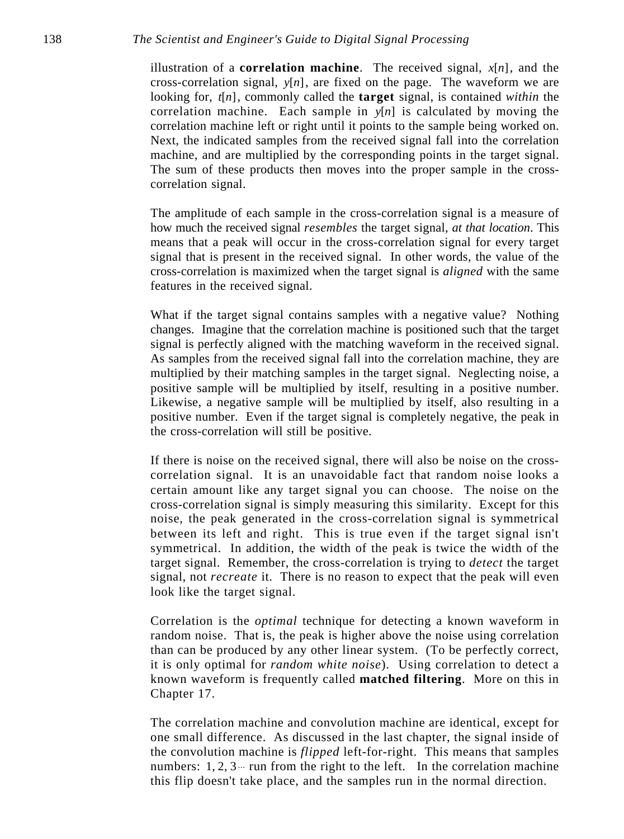# 138 *The Scientist and Engineer's Guide to Digital Signal Processing*

illustration of a **correlation machine**. The received signal, *x*[*n*], and the cross-correlation signal,  $y[n]$ , are fixed on the page. The waveform we are looking for, *t*[*n*], commonly called the **target** signal, is contained *within* the correlation machine. Each sample in *y*[*n*] is calculated by moving the correlation machine left or right until it points to the sample being worked on. Next, the indicated samples from the received signal fall into the correlation machine, and are multiplied by the corresponding points in the target signal. The sum of these products then moves into the proper sample in the crosscorrelation signal.

The amplitude of each sample in the cross-correlation signal is a measure of how much the received signal *resembles* the target signal, *at that location*. This means that a peak will occur in the cross-correlation signal for every target signal that is present in the received signal. In other words, the value of the cross-correlation is maximized when the target signal is *aligned* with the same features in the received signal.

What if the target signal contains samples with a negative value? Nothing changes. Imagine that the correlation machine is positioned such that the target signal is perfectly aligned with the matching waveform in the received signal. As samples from the received signal fall into the correlation machine, they are multiplied by their matching samples in the target signal. Neglecting noise, a positive sample will be multiplied by itself, resulting in a positive number. Likewise, a negative sample will be multiplied by itself, also resulting in a positive number. Even if the target signal is completely negative, the peak in the cross-correlation will still be positive.

If there is noise on the received signal, there will also be noise on the crosscorrelation signal. It is an unavoidable fact that random noise looks a certain amount like any target signal you can choose. The noise on the cross-correlation signal is simply measuring this similarity. Except for this noise, the peak generated in the cross-correlation signal is symmetrical between its left and right. This is true even if the target signal isn't symmetrical. In addition, the width of the peak is twice the width of the target signal. Remember, the cross-correlation is trying to *detect* the target signal, not *recreate* it. There is no reason to expect that the peak will even look like the target signal.

Correlation is the *optimal* technique for detecting a known waveform in random noise. That is, the peak is higher above the noise using correlation than can be produced by any other linear system. (To be perfectly correct, it is only optimal for *random white noise*). Using correlation to detect a known waveform is frequently called **matched filtering**. More on this in Chapter 17.

The correlation machine and convolution machine are identical, except for one small difference. As discussed in the last chapter, the signal inside of the convolution machine is *flipped* left-for-right. This means that samples numbers:  $1, 2, 3 \dots$  run from the right to the left. In the correlation machine this flip doesn't take place, and the samples run in the normal direction.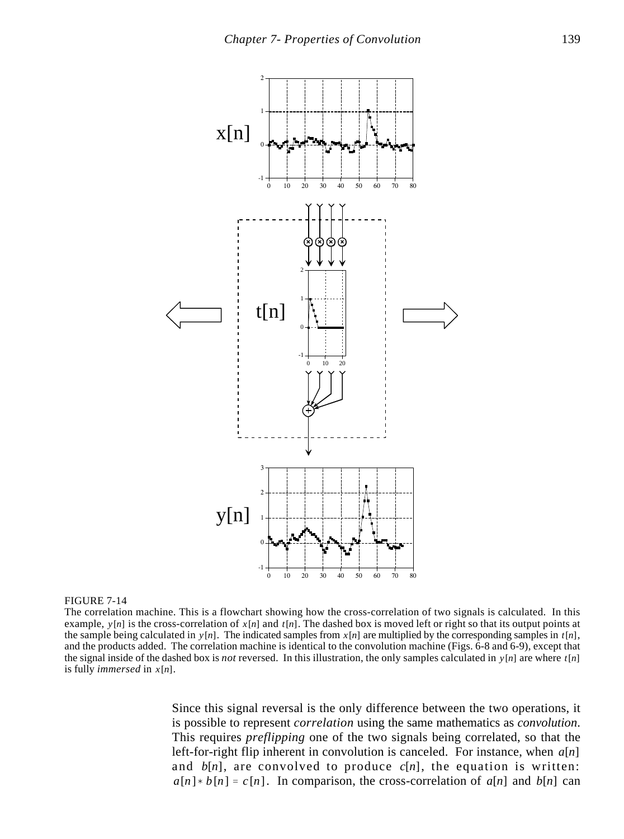

#### FIGURE 7-14

The correlation machine. This is a flowchart showing how the cross-correlation of two signals is calculated. In this example,  $y[n]$  is the cross-correlation of  $x[n]$  and  $t[n]$ . The dashed box is moved left or right so that its output points at the sample being calculated in  $y[n]$ . The indicated samples from  $x[n]$  are multiplied by the corresponding samples in  $t[n]$ , and the products added. The correlation machine is identical to the convolution machine (Figs. 6-8 and 6-9), except that the signal inside of the dashed box is *not* reversed. In this illustration, the only samples calculated in *y* [*n*] are where *t*[*n*] is fully *immersed* in *x* [*n*].

Since this signal reversal is the only difference between the two operations, it is possible to represent *correlation* using the same mathematics as *convolution*. This requires *preflipping* one of the two signals being correlated, so that the left-for-right flip inherent in convolution is canceled. For instance, when *a*[*n*] and  $b[n]$ , are convolved to produce  $c[n]$ , the equation is written:  $a[n] * b[n] = c[n]$ . In comparison, the cross-correlation of  $a[n]$  and  $b[n]$  can